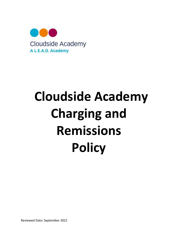

# Cloudside Academy Charging and Remissions **Policy**

Reviewed Date: September 2021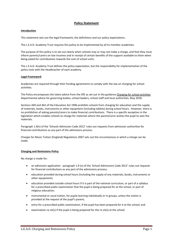# Policy Statement

#### Introduction

This statement sets out the legal framework, the definitions and our policy expectations.

The L.E.A.D. Academy Trust requires this policy to be implemented by all its member academies.

The purpose of this policy is to set out clearly when schools may or may not make a charge, and that they must inform parents/carers on low incomes and in receipt of certain benefits of the support available to them when being asked for contributions towards the cost of school visits.

The L.E.A.D. Academy Trust defines the policy expectation, but the responsibility for implementation of the policy rests with the Headteacher of each academy.

#### Legal Framework

Academies are required through their funding agreements to comply with the law on charging for school activities.

The Policy encompasses the latest advice from the DfE as set out in the guidance Charging for school activities Departmental advice for governing bodies, school leaders, school staff and local authorities, May 2018.

Sections 449 and 462 of the Education Act 1996 prohibits schools from charging for education and the supply of materials, books, instruments or other equipment (including tablets) during school hours. However, there is no prohibition of asking parents/carers to make financial contributions. There is a specific exception in the legislation which enables schools to charge for materials where the parent/carer wishes the pupil to own the materials.

Paragraph 1.9(n) of the 'Schools Admission Code 2012' rules out requests from admission authorities for financial contributions as any part of the admissions process.

Charges for Music Tuition (England) Regulations 2007 sets out the circumstances in which a charge can be made.

## Charging and Remissions Policy

No charge is made for:

- an admission application paragraph 1.9 (n) of the 'School Admissions Code 2012' rules out requests for financial contributions as any part of the admissions process;
- education provided during school hours (including the supply of any materials, books, instruments or other equipment);
- education provided outside school hours if it is part of the national curriculum, or part of a syllabus for a prescribed public examination that the pupil is being prepared for at the school, or part of religious education;
- instrumental or vocal tuition, for pupils learning individually or in groups, unless the tuition is provided at the request of the pupil's parent;
- entry for a prescribed public examination, if the pupil has been prepared for it at the school; and
- **e** examination re-sit(s) if the pupil is being prepared for the re-sit(s) at the school.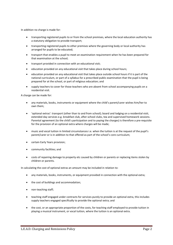In addition no charge is made for:

- transporting registered pupils to or from the school premises, where the local education authority has a statutory obligation to provide transport;
- transporting registered pupils to other premises where the governing body or local authority has arranged for pupils to be educated;
- transport that enables a pupil to meet an examination requirement when he has been prepared for that examination at the school;
- transport provided in connection with an educational visit;
- education provided on any educational visit that takes place during school hours;
- education provided on any educational visit that takes place outside school hours if it is part of the national curriculum, or part of a syllabus for a prescribed public examination that the pupil is being prepared for at the school, or part of religious education; and
- supply teachers to cover for those teachers who are absent from school accompanying pupils on a residential visit.

A charge can be made for:

- any materials, books, instruments or equipment where the child's parent/carer wishes him/her to own them;
- 'optional extras': transport (other than to and from school); board and lodging on a residential visit; extended day services e.g. breakfast club, after-school clubs, tea and supervised homework sessions. Parental agreement (to the child's participation and to paying the charges) is therefore a pre-requisite for the provision of an optional extra where charges will be made;
- music and vocal tuition in limited circumstances i.e. when the tuition is at the request of the pupil's parent/carer or is in addition to that offered as part of the school's core curriculum;
- **•** certain Early Years provision;
- community facilities; and
- costs of repairing damage to property etc caused by children or parents or replacing items stolen by children or parents.

In calculating the cost of optional extras an amount may be included in relation to:

- any materials, books, instruments, or equipment provided in connection with the optional extra;
- the cost of buildings and accommodation;
- non-teaching staff;
- teaching staff engaged under contracts for services purely to provide an optional extra, this includes supply teachers engaged specifically to provide the optional extra; and
- the cost, or an appropriate proportion of the costs, for teaching staff employed to provide tuition in playing a musical instrument, or vocal tuition, where the tuition is an optional extra.